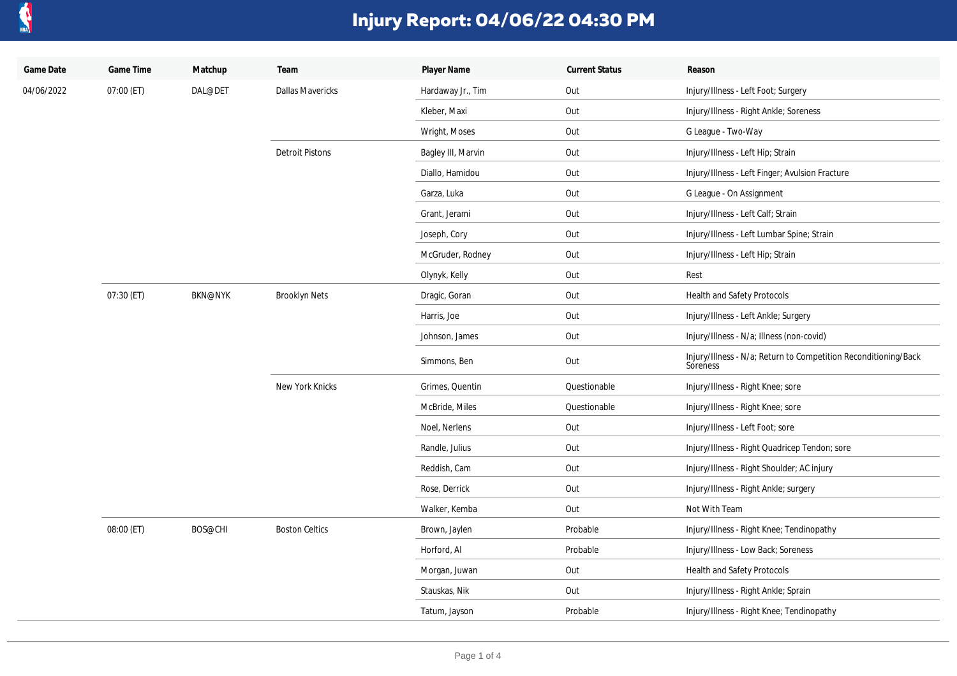

| Game Date  | Game Time  | Matchup        | Team                    | Player Name        | <b>Current Status</b> | Reason                                                                      |
|------------|------------|----------------|-------------------------|--------------------|-----------------------|-----------------------------------------------------------------------------|
| 04/06/2022 | 07:00 (ET) | DAL@DET        | <b>Dallas Mavericks</b> | Hardaway Jr., Tim  | Out                   | Injury/Illness - Left Foot; Surgery                                         |
|            |            |                |                         | Kleber, Maxi       | Out                   | Injury/Illness - Right Ankle; Soreness                                      |
|            |            |                |                         | Wright, Moses      | Out                   | G League - Two-Way                                                          |
|            |            |                | <b>Detroit Pistons</b>  | Bagley III, Marvin | Out                   | Injury/Illness - Left Hip; Strain                                           |
|            |            |                |                         | Diallo, Hamidou    | Out                   | Injury/Illness - Left Finger; Avulsion Fracture                             |
|            |            |                |                         | Garza, Luka        | Out                   | G League - On Assignment                                                    |
|            |            |                |                         | Grant, Jerami      | Out                   | Injury/Illness - Left Calf; Strain                                          |
|            |            |                |                         | Joseph, Cory       | Out                   | Injury/Illness - Left Lumbar Spine; Strain                                  |
|            |            |                |                         | McGruder, Rodney   | Out                   | Injury/Illness - Left Hip; Strain                                           |
|            |            |                |                         | Olynyk, Kelly      | Out                   | Rest                                                                        |
|            | 07:30 (ET) | <b>BKN@NYK</b> | <b>Brooklyn Nets</b>    | Dragic, Goran      | Out                   | Health and Safety Protocols                                                 |
|            |            |                |                         | Harris, Joe        | Out                   | Injury/Illness - Left Ankle; Surgery                                        |
|            |            |                |                         | Johnson, James     | Out                   | Injury/Illness - N/a; Illness (non-covid)                                   |
|            |            |                |                         | Simmons, Ben       | Out                   | Injury/Illness - N/a; Return to Competition Reconditioning/Back<br>Soreness |
|            |            |                | New York Knicks         | Grimes, Quentin    | Questionable          | Injury/Illness - Right Knee; sore                                           |
|            |            |                |                         | McBride, Miles     | Questionable          | Injury/Illness - Right Knee; sore                                           |
|            |            |                |                         | Noel, Nerlens      | Out                   | Injury/Illness - Left Foot; sore                                            |
|            |            |                |                         | Randle, Julius     | Out                   | Injury/Illness - Right Quadricep Tendon; sore                               |
|            |            |                |                         | Reddish, Cam       | Out                   | Injury/Illness - Right Shoulder; AC injury                                  |
|            |            |                |                         | Rose, Derrick      | Out                   | Injury/Illness - Right Ankle; surgery                                       |
|            |            |                |                         | Walker, Kemba      | Out                   | Not With Team                                                               |
|            | 08:00 (ET) | BOS@CHI        | <b>Boston Celtics</b>   | Brown, Jaylen      | Probable              | Injury/Illness - Right Knee; Tendinopathy                                   |
|            |            |                |                         | Horford, Al        | Probable              | Injury/Illness - Low Back; Soreness                                         |
|            |            |                |                         | Morgan, Juwan      | Out                   | Health and Safety Protocols                                                 |
|            |            |                |                         | Stauskas, Nik      | Out                   | Injury/Illness - Right Ankle; Sprain                                        |
|            |            |                |                         | Tatum, Jayson      | Probable              | Injury/Illness - Right Knee; Tendinopathy                                   |
|            |            |                |                         |                    |                       |                                                                             |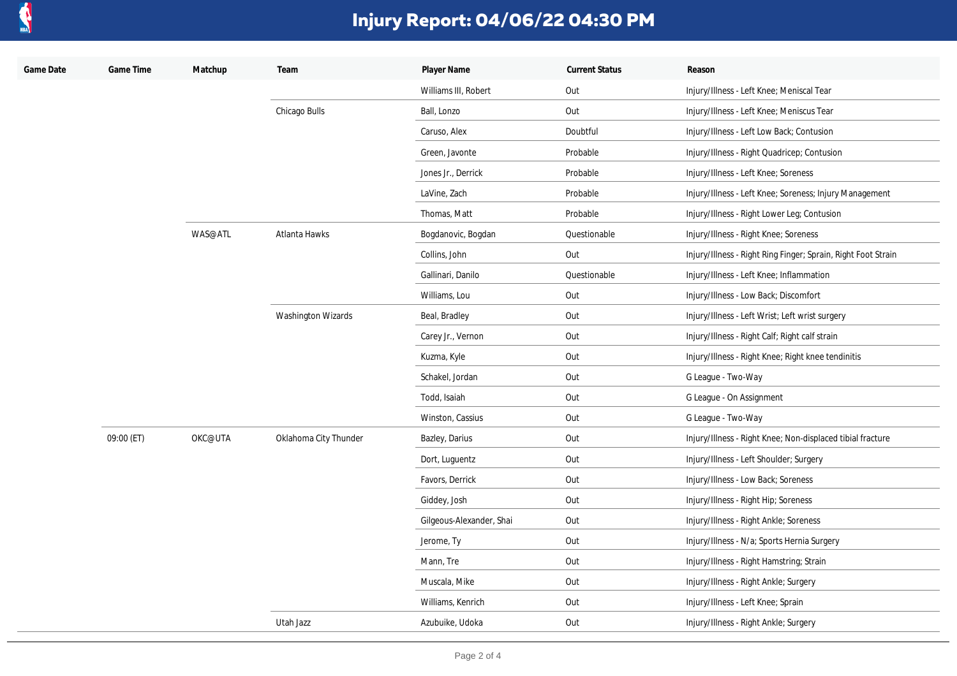

| Game Date | Game Time  | Matchup | Team                      | Player Name              | <b>Current Status</b> | Reason                                                        |
|-----------|------------|---------|---------------------------|--------------------------|-----------------------|---------------------------------------------------------------|
|           |            |         |                           | Williams III, Robert     | Out                   | Injury/Illness - Left Knee; Meniscal Tear                     |
|           |            |         | Chicago Bulls             | Ball, Lonzo              | Out                   | Injury/Illness - Left Knee; Meniscus Tear                     |
|           |            |         |                           | Caruso, Alex             | Doubtful              | Injury/Illness - Left Low Back; Contusion                     |
|           |            |         |                           | Green, Javonte           | Probable              | Injury/Illness - Right Quadricep; Contusion                   |
|           |            |         |                           | Jones Jr., Derrick       | Probable              | Injury/Illness - Left Knee; Soreness                          |
|           |            |         |                           | LaVine, Zach             | Probable              | Injury/Illness - Left Knee; Soreness; Injury Management       |
|           |            |         |                           | Thomas, Matt             | Probable              | Injury/Illness - Right Lower Leg; Contusion                   |
|           |            | WAS@ATL | Atlanta Hawks             | Bogdanovic, Bogdan       | Questionable          | Injury/Illness - Right Knee; Soreness                         |
|           |            |         |                           | Collins, John            | Out                   | Injury/Illness - Right Ring Finger; Sprain, Right Foot Strain |
|           |            |         |                           | Gallinari, Danilo        | Questionable          | Injury/Illness - Left Knee; Inflammation                      |
|           |            |         |                           | Williams, Lou            | Out                   | Injury/Illness - Low Back; Discomfort                         |
|           |            |         | <b>Washington Wizards</b> | Beal, Bradley            | Out                   | Injury/Illness - Left Wrist; Left wrist surgery               |
|           |            |         |                           | Carey Jr., Vernon        | Out                   | Injury/Illness - Right Calf; Right calf strain                |
|           |            |         |                           | Kuzma, Kyle              | Out                   | Injury/Illness - Right Knee; Right knee tendinitis            |
|           |            |         |                           | Schakel, Jordan          | Out                   | G League - Two-Way                                            |
|           |            |         |                           | Todd, Isaiah             | Out                   | G League - On Assignment                                      |
|           |            |         |                           | Winston, Cassius         | Out                   | G League - Two-Way                                            |
|           | 09:00 (ET) | OKC@UTA | Oklahoma City Thunder     | Bazley, Darius           | Out                   | Injury/Illness - Right Knee; Non-displaced tibial fracture    |
|           |            |         |                           | Dort, Luguentz           | Out                   | Injury/Illness - Left Shoulder; Surgery                       |
|           |            |         |                           | Favors, Derrick          | Out                   | Injury/Illness - Low Back; Soreness                           |
|           |            |         |                           | Giddey, Josh             | Out                   | Injury/Illness - Right Hip; Soreness                          |
|           |            |         |                           | Gilgeous-Alexander, Shai | Out                   | Injury/Illness - Right Ankle; Soreness                        |
|           |            |         |                           | Jerome, Ty               | Out                   | Injury/Illness - N/a; Sports Hernia Surgery                   |
|           |            |         |                           | Mann, Tre                | Out                   | Injury/Illness - Right Hamstring; Strain                      |
|           |            |         |                           | Muscala, Mike            | Out                   | Injury/Illness - Right Ankle; Surgery                         |
|           |            |         |                           | Williams, Kenrich        | Out                   | Injury/Illness - Left Knee; Sprain                            |
|           |            |         | Utah Jazz                 | Azubuike, Udoka          | Out                   | Injury/Illness - Right Ankle; Surgery                         |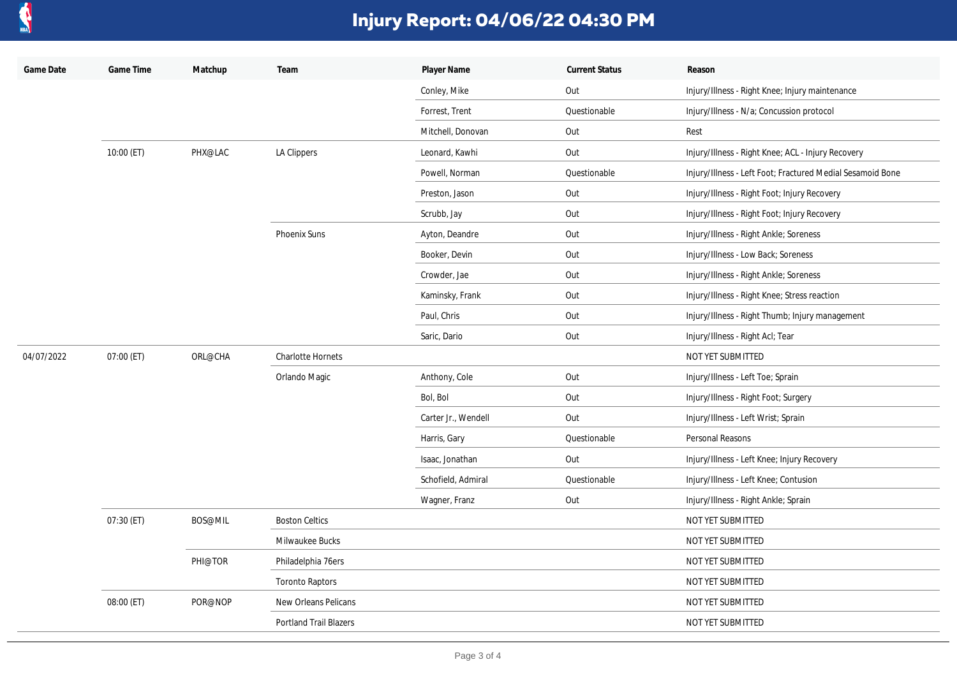

| Game Date  | Game Time    | Matchup | Team                          | Player Name         | <b>Current Status</b> | Reason                                                     |
|------------|--------------|---------|-------------------------------|---------------------|-----------------------|------------------------------------------------------------|
|            |              |         |                               | Conley, Mike        | Out                   | Injury/Illness - Right Knee; Injury maintenance            |
|            |              |         |                               | Forrest, Trent      | Questionable          | Injury/Illness - N/a; Concussion protocol                  |
|            |              |         |                               | Mitchell, Donovan   | Out                   | Rest                                                       |
|            | $10:00$ (ET) | PHX@LAC | LA Clippers                   | Leonard, Kawhi      | Out                   | Injury/Illness - Right Knee; ACL - Injury Recovery         |
|            |              |         |                               | Powell, Norman      | Questionable          | Injury/Illness - Left Foot; Fractured Medial Sesamoid Bone |
|            |              |         |                               | Preston, Jason      | Out                   | Injury/Illness - Right Foot; Injury Recovery               |
|            |              |         |                               | Scrubb, Jay         | Out                   | Injury/Illness - Right Foot; Injury Recovery               |
|            |              |         | <b>Phoenix Suns</b>           | Ayton, Deandre      | Out                   | Injury/Illness - Right Ankle; Soreness                     |
|            |              |         |                               | Booker, Devin       | Out                   | Injury/Illness - Low Back; Soreness                        |
|            |              |         |                               | Crowder, Jae        | Out                   | Injury/Illness - Right Ankle; Soreness                     |
|            |              |         |                               | Kaminsky, Frank     | Out                   | Injury/Illness - Right Knee; Stress reaction               |
|            |              |         |                               | Paul, Chris         | Out                   | Injury/Illness - Right Thumb; Injury management            |
|            |              |         |                               | Saric, Dario        | Out                   | Injury/Illness - Right Acl; Tear                           |
| 04/07/2022 | 07:00 (ET)   | ORL@CHA | <b>Charlotte Hornets</b>      |                     |                       | NOT YET SUBMITTED                                          |
|            |              |         | Orlando Magic                 | Anthony, Cole       | Out                   | Injury/Illness - Left Toe; Sprain                          |
|            |              |         |                               | Bol, Bol            | Out                   | Injury/Illness - Right Foot; Surgery                       |
|            |              |         |                               | Carter Jr., Wendell | Out                   | Injury/Illness - Left Wrist; Sprain                        |
|            |              |         |                               | Harris, Gary        | Questionable          | Personal Reasons                                           |
|            |              |         |                               | Isaac, Jonathan     | Out                   | Injury/Illness - Left Knee; Injury Recovery                |
|            |              |         |                               | Schofield, Admiral  | Questionable          | Injury/Illness - Left Knee; Contusion                      |
|            |              |         |                               | Wagner, Franz       | Out                   | Injury/Illness - Right Ankle; Sprain                       |
|            | 07:30 (ET)   | BOS@MIL | <b>Boston Celtics</b>         |                     |                       | NOT YET SUBMITTED                                          |
|            |              |         | Milwaukee Bucks               |                     |                       | NOT YET SUBMITTED                                          |
|            |              | PHI@TOR | Philadelphia 76ers            |                     |                       | NOT YET SUBMITTED                                          |
|            |              |         | <b>Toronto Raptors</b>        |                     |                       | NOT YET SUBMITTED                                          |
|            | 08:00 (ET)   | POR@NOP | New Orleans Pelicans          |                     |                       | NOT YET SUBMITTED                                          |
|            |              |         | <b>Portland Trail Blazers</b> |                     |                       | NOT YET SUBMITTED                                          |
|            |              |         |                               |                     |                       |                                                            |